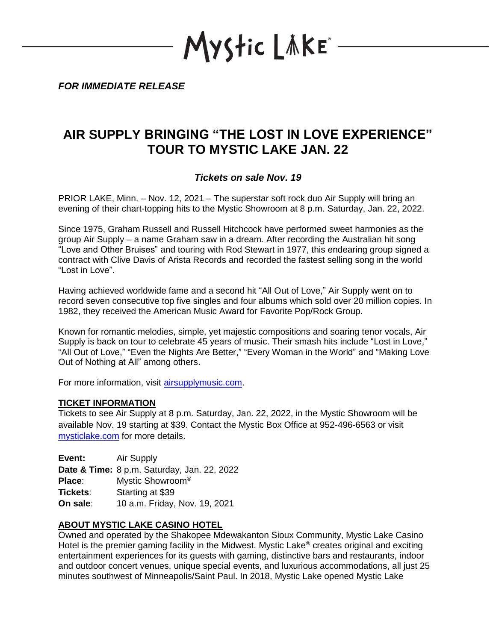Mystic LAKE\*

*FOR IMMEDIATE RELEASE*

## **AIR SUPPLY BRINGING "THE LOST IN LOVE EXPERIENCE" TOUR TO MYSTIC LAKE JAN. 22**

## *Tickets on sale Nov. 19*

PRIOR LAKE, Minn. – Nov. 12, 2021 – The superstar soft rock duo Air Supply will bring an evening of their chart-topping hits to the Mystic Showroom at 8 p.m. Saturday, Jan. 22, 2022.

Since 1975, Graham Russell and Russell Hitchcock have performed sweet harmonies as the group Air Supply – a name Graham saw in a dream. After recording the Australian hit song "Love and Other Bruises" and touring with Rod Stewart in 1977, this endearing group signed a contract with Clive Davis of Arista Records and recorded the fastest selling song in the world "Lost in Love".

Having achieved worldwide fame and a second hit "All Out of Love," Air Supply went on to record seven consecutive top five singles and four albums which sold over 20 million copies. In 1982, they received the American Music Award for Favorite Pop/Rock Group.

Known for romantic melodies, simple, yet majestic compositions and soaring tenor vocals, Air Supply is back on tour to celebrate 45 years of music. Their smash hits include "Lost in Love," "All Out of Love," "Even the Nights Are Better," "Every Woman in the World" and "Making Love Out of Nothing at All" among others.

For more information, visit [airsupplymusic.com.](http://www.airsupplymusic.com./)

## **TICKET INFORMATION**

Tickets to see Air Supply at 8 p.m. Saturday, Jan. 22, 2022, in the Mystic Showroom will be available Nov. 19 starting at \$39. Contact the Mystic Box Office at 952-496-6563 or visit [mysticlake.com](http://www.mysticlake.com/) for more details.

**Event:** Air Supply **Date & Time:** 8 p.m. Saturday, Jan. 22, 2022 **Place**: Mystic Showroom® **Tickets**: Starting at \$39 **On sale**: 10 a.m. Friday, Nov. 19, 2021

## **ABOUT MYSTIC LAKE CASINO HOTEL**

Owned and operated by the Shakopee Mdewakanton Sioux Community, Mystic Lake Casino Hotel is the premier gaming facility in the Midwest. Mystic Lake<sup>®</sup> creates original and exciting entertainment experiences for its guests with gaming, distinctive bars and restaurants, indoor and outdoor concert venues, unique special events, and luxurious accommodations, all just 25 minutes southwest of Minneapolis/Saint Paul. In 2018, Mystic Lake opened Mystic Lake